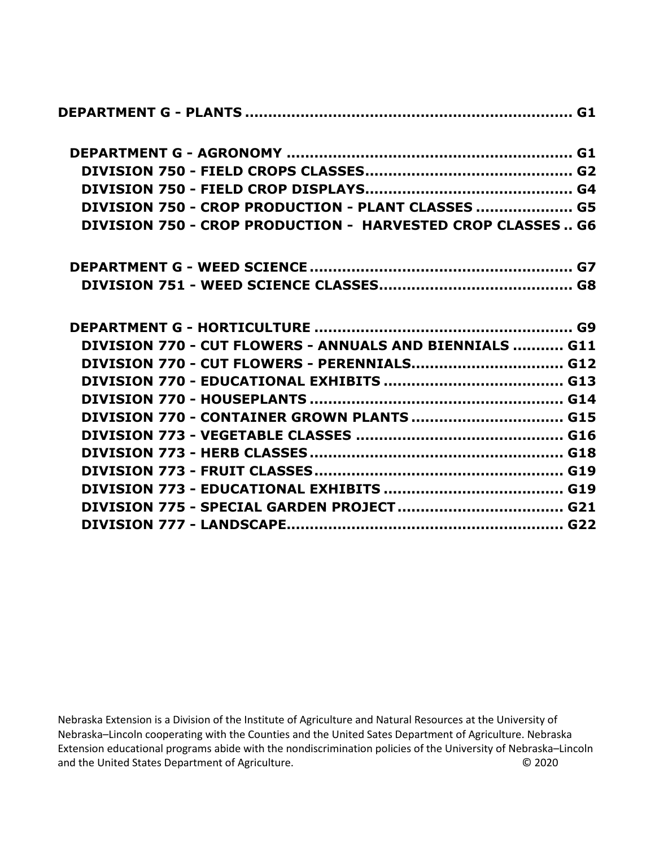| DIVISION 750 - CROP PRODUCTION - PLANT CLASSES  G5                |
|-------------------------------------------------------------------|
| <b>DIVISION 750 - CROP PRODUCTION - HARVESTED CROP CLASSES G6</b> |
|                                                                   |
|                                                                   |
|                                                                   |
| DIVISION 770 - CUT FLOWERS - ANNUALS AND BIENNIALS  G11           |
| DIVISION 770 - CUT FLOWERS - PERENNIALS G12                       |
|                                                                   |
|                                                                   |
| DIVISION 770 - CONTAINER GROWN PLANTS  G15                        |
|                                                                   |
|                                                                   |
|                                                                   |
|                                                                   |
|                                                                   |
|                                                                   |

Nebraska Extension is a Division of the Institute of Agriculture and Natural Resources at the University of Nebraska–Lincoln cooperating with the Counties and the United Sates Department of Agriculture. Nebraska Extension educational programs abide with the nondiscrimination policies of the University of Nebraska–Lincoln and the United States Department of Agriculture.<br>
© 2020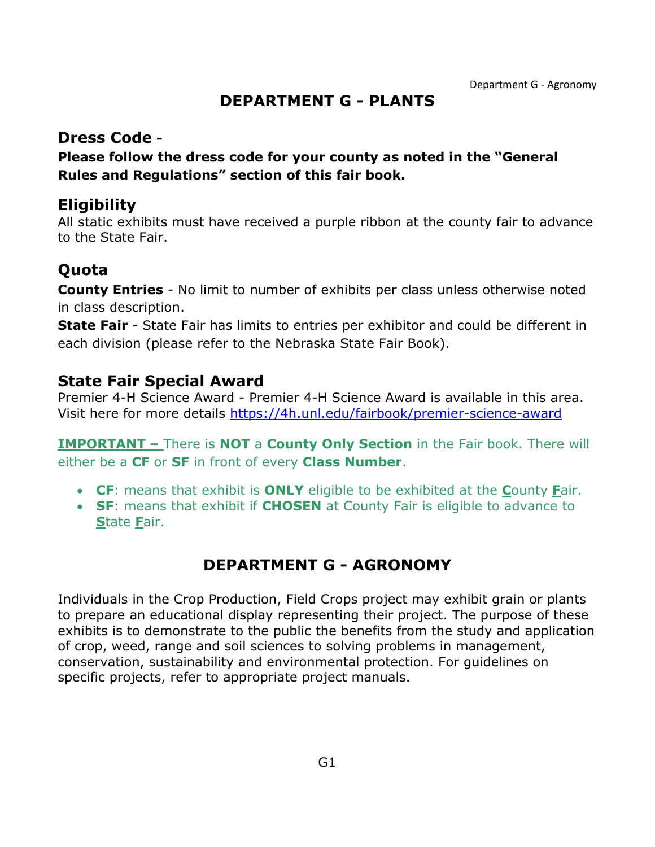### **DEPARTMENT G - PLANTS**

#### <span id="page-1-0"></span>**Dress Code -**

**Please follow the dress code for your county as noted in the "General Rules and Regulations" section of this fair book.**

### **Eligibility**

All static exhibits must have received a purple ribbon at the county fair to advance to the State Fair.

# **Quota**

**County Entries** - No limit to number of exhibits per class unless otherwise noted in class description.

**State Fair** - State Fair has limits to entries per exhibitor and could be different in each division (please refer to the Nebraska State Fair Book).

### **State Fair Special Award**

Premier 4-H Science Award - Premier 4-H Science Award is available in this area. Visit here for more details<https://4h.unl.edu/fairbook/premier-science-award>

**IMPORTANT –** There is **NOT** a **County Only Section** in the Fair book. There will either be a **CF** or **SF** in front of every **Class Number**.

- **CF**: means that exhibit is **ONLY** eligible to be exhibited at the **C**ounty **F**air.
- **SF**: means that exhibit if **CHOSEN** at County Fair is eligible to advance to **S**tate **F**air.

# **DEPARTMENT G - AGRONOMY**

<span id="page-1-1"></span>Individuals in the Crop Production, Field Crops project may exhibit grain or plants to prepare an educational display representing their project. The purpose of these exhibits is to demonstrate to the public the benefits from the study and application of crop, weed, range and soil sciences to solving problems in management, conservation, sustainability and environmental protection. For guidelines on specific projects, refer to appropriate project manuals.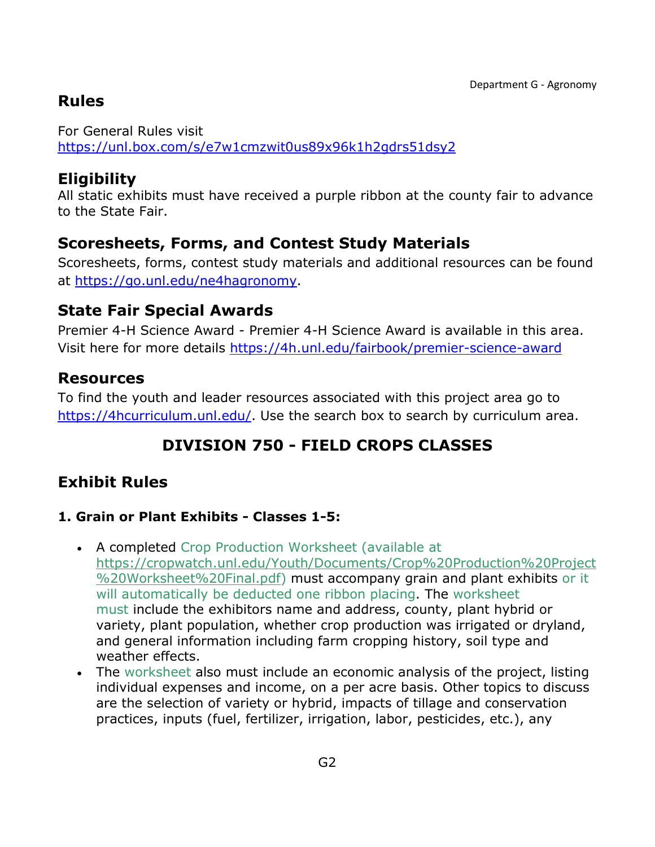# **Rules**

For General Rules visit <https://unl.box.com/s/e7w1cmzwit0us89x96k1h2gdrs51dsy2>

### **Eligibility**

All static exhibits must have received a purple ribbon at the county fair to advance to the State Fair.

# **Scoresheets, Forms, and Contest Study Materials**

Scoresheets, forms, contest study materials and additional resources can be found at [https://go.unl.edu/ne4hagronomy.](https://go.unl.edu/ne4hagronomy)

## **State Fair Special Awards**

Premier 4-H Science Award - Premier 4-H Science Award is available in this area. Visit here for more details<https://4h.unl.edu/fairbook/premier-science-award>

### **Resources**

To find the youth and leader resources associated with this project area go to [https://4hcurriculum.unl.edu/.](https://4hcurriculum.unl.edu/) Use the search box to search by curriculum area.

# **DIVISION 750 - FIELD CROPS CLASSES**

# <span id="page-2-0"></span>**Exhibit Rules**

#### **1. Grain or Plant Exhibits - Classes 1-5:**

- A completed Crop Production Worksheet (available at [https://cropwatch.unl.edu/Youth/Documents/Crop%20Production%20Project](https://cropwatch.unl.edu/Youth/Documents/Crop%20Production%20Project%20Worksheet%20Final.pdf) [%20Worksheet%20Final.pdf\)](https://cropwatch.unl.edu/Youth/Documents/Crop%20Production%20Project%20Worksheet%20Final.pdf) must accompany grain and plant exhibits or it will automatically be deducted one ribbon placing. The worksheet must include the exhibitors name and address, county, plant hybrid or variety, plant population, whether crop production was irrigated or dryland, and general information including farm cropping history, soil type and weather effects.
- The worksheet also must include an economic analysis of the project, listing individual expenses and income, on a per acre basis. Other topics to discuss are the selection of variety or hybrid, impacts of tillage and conservation practices, inputs (fuel, fertilizer, irrigation, labor, pesticides, etc.), any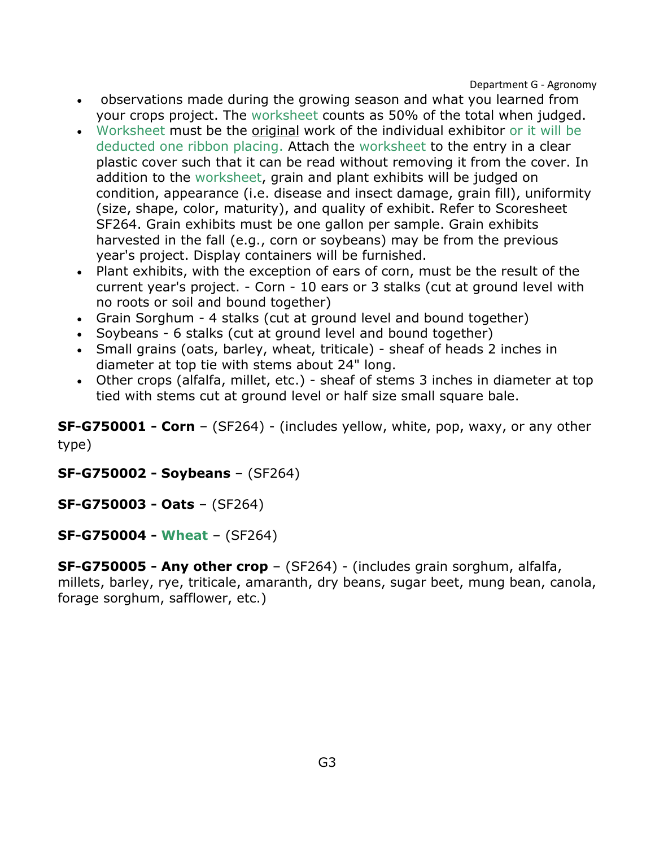Department G - Agronomy

- observations made during the growing season and what you learned from your crops project. The worksheet counts as 50% of the total when judged.
- Worksheet must be the original work of the individual exhibitor or it will be deducted one ribbon placing. Attach the worksheet to the entry in a clear plastic cover such that it can be read without removing it from the cover. In addition to the worksheet, grain and plant exhibits will be judged on condition, appearance (i.e. disease and insect damage, grain fill), uniformity (size, shape, color, maturity), and quality of exhibit. Refer to Scoresheet SF264. Grain exhibits must be one gallon per sample. Grain exhibits harvested in the fall (e.g., corn or soybeans) may be from the previous year's project. Display containers will be furnished.
- Plant exhibits, with the exception of ears of corn, must be the result of the current year's project. - Corn - 10 ears or 3 stalks (cut at ground level with no roots or soil and bound together)
- Grain Sorghum 4 stalks (cut at ground level and bound together)
- Soybeans 6 stalks (cut at ground level and bound together)
- Small grains (oats, barley, wheat, triticale) sheaf of heads 2 inches in diameter at top tie with stems about 24" long.
- Other crops (alfalfa, millet, etc.) sheaf of stems 3 inches in diameter at top tied with stems cut at ground level or half size small square bale.

**SF-G750001 - Corn** – (SF264) - (includes yellow, white, pop, waxy, or any other type)

**SF-G750002 - Soybeans** – (SF264)

**SF-G750003 - Oats** – (SF264)

**SF-G750004 - Wheat** – (SF264)

**SF-G750005 - Any other crop** – (SF264) - (includes grain sorghum, alfalfa, millets, barley, rye, triticale, amaranth, dry beans, sugar beet, mung bean, canola, forage sorghum, safflower, etc.)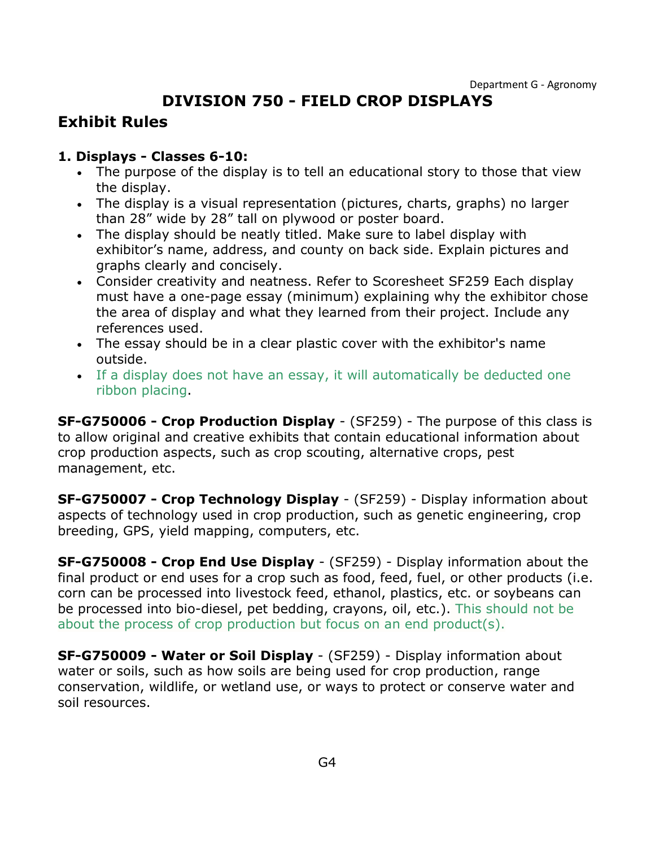# **DIVISION 750 - FIELD CROP DISPLAYS**

### <span id="page-4-0"></span>**Exhibit Rules**

#### **1. Displays - Classes 6-10:**

- The purpose of the display is to tell an educational story to those that view the display.
- The display is a visual representation (pictures, charts, graphs) no larger than 28" wide by 28" tall on plywood or poster board.
- The display should be neatly titled. Make sure to label display with exhibitor's name, address, and county on back side. Explain pictures and graphs clearly and concisely.
- Consider creativity and neatness. Refer to Scoresheet SF259 Each display must have a one-page essay (minimum) explaining why the exhibitor chose the area of display and what they learned from their project. Include any references used.
- The essay should be in a clear plastic cover with the exhibitor's name outside.
- If a display does not have an essay, it will automatically be deducted one ribbon placing.

**SF-G750006 - Crop Production Display** - (SF259) - The purpose of this class is to allow original and creative exhibits that contain educational information about crop production aspects, such as crop scouting, alternative crops, pest management, etc.

**SF-G750007 - Crop Technology Display** - (SF259) - Display information about aspects of technology used in crop production, such as genetic engineering, crop breeding, GPS, yield mapping, computers, etc.

**SF-G750008 - Crop End Use Display** - (SF259) - Display information about the final product or end uses for a crop such as food, feed, fuel, or other products (i.e. corn can be processed into livestock feed, ethanol, plastics, etc. or soybeans can be processed into bio-diesel, pet bedding, crayons, oil, etc.). This should not be about the process of crop production but focus on an end product(s).

**SF-G750009 - Water or Soil Display** - (SF259) - Display information about water or soils, such as how soils are being used for crop production, range conservation, wildlife, or wetland use, or ways to protect or conserve water and soil resources.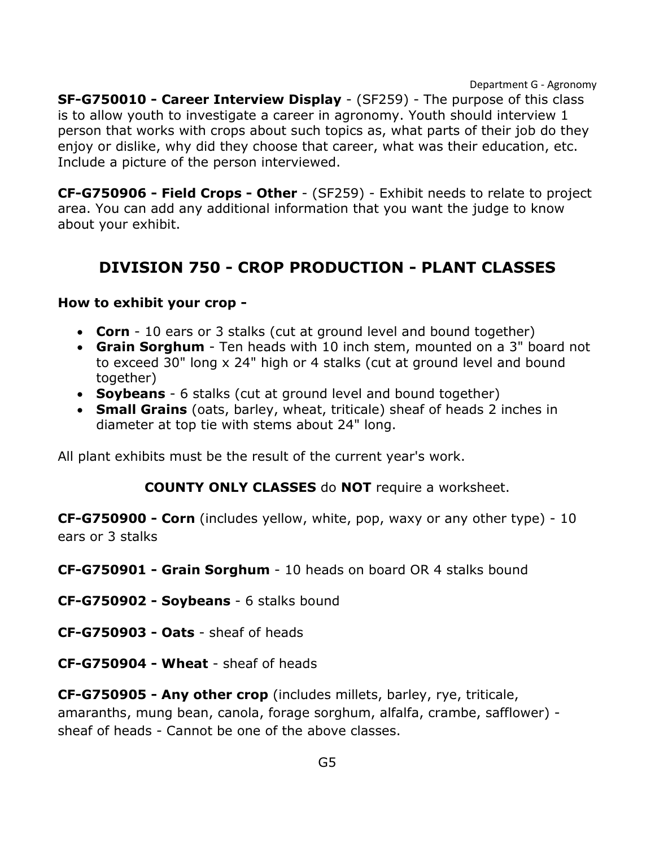Department G - Agronomy

**SF-G750010 - Career Interview Display** - (SF259) - The purpose of this class is to allow youth to investigate a career in agronomy. Youth should interview 1 person that works with crops about such topics as, what parts of their job do they enjoy or dislike, why did they choose that career, what was their education, etc. Include a picture of the person interviewed.

**CF-G750906 - Field Crops - Other** - (SF259) - Exhibit needs to relate to project area. You can add any additional information that you want the judge to know about your exhibit.

## <span id="page-5-0"></span>**DIVISION 750 - CROP PRODUCTION - PLANT CLASSES**

#### **How to exhibit your crop -**

- **Corn** 10 ears or 3 stalks (cut at ground level and bound together)
- **Grain Sorghum** Ten heads with 10 inch stem, mounted on a 3" board not to exceed 30" long x 24" high or 4 stalks (cut at ground level and bound together)
- **Soybeans** 6 stalks (cut at ground level and bound together)
- **Small Grains** (oats, barley, wheat, triticale) sheaf of heads 2 inches in diameter at top tie with stems about 24" long.

All plant exhibits must be the result of the current year's work.

#### **COUNTY ONLY CLASSES** do **NOT** require a worksheet.

**CF-G750900 - Corn** (includes yellow, white, pop, waxy or any other type) - 10 ears or 3 stalks

**CF-G750901 - Grain Sorghum** - 10 heads on board OR 4 stalks bound

**CF-G750902 - Soybeans** - 6 stalks bound

- **CF-G750903 - Oats**  sheaf of heads
- **CF-G750904 - Wheat**  sheaf of heads

**CF-G750905 - Any other crop** (includes millets, barley, rye, triticale, amaranths, mung bean, canola, forage sorghum, alfalfa, crambe, safflower) sheaf of heads - Cannot be one of the above classes.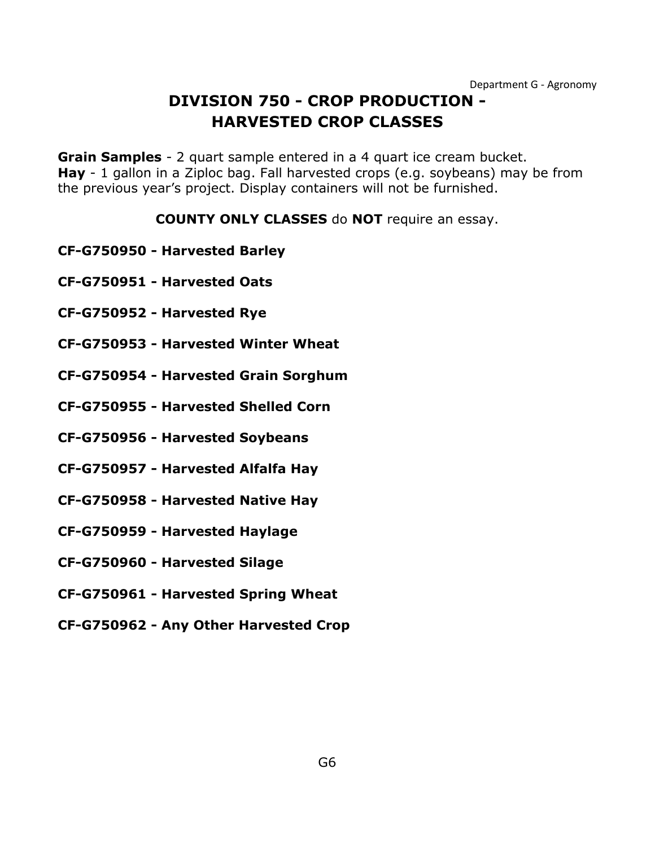# **DIVISION 750 - CROP PRODUCTION - HARVESTED CROP CLASSES**

<span id="page-6-0"></span>**Grain Samples** - 2 quart sample entered in a 4 quart ice cream bucket. **Hay** - 1 gallon in a Ziploc bag. Fall harvested crops (e.g. soybeans) may be from the previous year's project. Display containers will not be furnished.

#### **COUNTY ONLY CLASSES** do **NOT** require an essay.

- **CF-G750950 - Harvested Barley**
- **CF-G750951 - Harvested Oats**
- **CF-G750952 - Harvested Rye**
- **CF-G750953 - Harvested Winter Wheat**
- **CF-G750954 - Harvested Grain Sorghum**
- **CF-G750955 - Harvested Shelled Corn**
- **CF-G750956 - Harvested Soybeans**
- **CF-G750957 - Harvested Alfalfa Hay**
- **CF-G750958 - Harvested Native Hay**
- **CF-G750959 - Harvested Haylage**
- **CF-G750960 - Harvested Silage**
- **CF-G750961 - Harvested Spring Wheat**
- **CF-G750962 - Any Other Harvested Crop**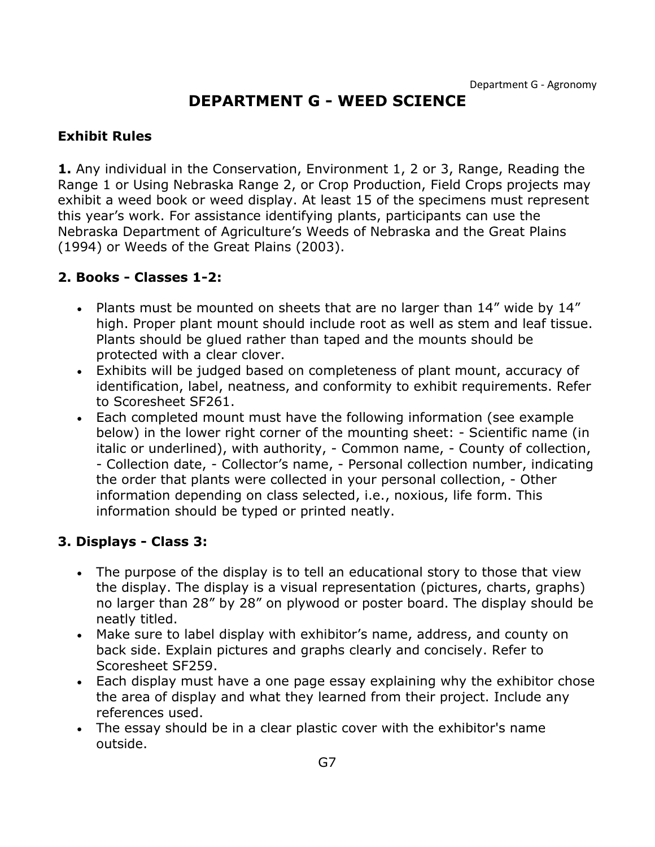### **DEPARTMENT G - WEED SCIENCE**

#### <span id="page-7-0"></span>**Exhibit Rules**

**1.** Any individual in the Conservation, Environment 1, 2 or 3, Range, Reading the Range 1 or Using Nebraska Range 2, or Crop Production, Field Crops projects may exhibit a weed book or weed display. At least 15 of the specimens must represent this year's work. For assistance identifying plants, participants can use the Nebraska Department of Agriculture's Weeds of Nebraska and the Great Plains (1994) or Weeds of the Great Plains (2003).

#### **2. Books - Classes 1-2:**

- Plants must be mounted on sheets that are no larger than 14" wide by 14" high. Proper plant mount should include root as well as stem and leaf tissue. Plants should be glued rather than taped and the mounts should be protected with a clear clover.
- Exhibits will be judged based on completeness of plant mount, accuracy of identification, label, neatness, and conformity to exhibit requirements. Refer to Scoresheet SF261.
- Each completed mount must have the following information (see example below) in the lower right corner of the mounting sheet: - Scientific name (in italic or underlined), with authority, - Common name, - County of collection, - Collection date, - Collector's name, - Personal collection number, indicating the order that plants were collected in your personal collection, - Other information depending on class selected, i.e., noxious, life form. This information should be typed or printed neatly.

#### **3. Displays - Class 3:**

- The purpose of the display is to tell an educational story to those that view the display. The display is a visual representation (pictures, charts, graphs) no larger than 28" by 28" on plywood or poster board. The display should be neatly titled.
- Make sure to label display with exhibitor's name, address, and county on back side. Explain pictures and graphs clearly and concisely. Refer to Scoresheet SF259.
- Each display must have a one page essay explaining why the exhibitor chose the area of display and what they learned from their project. Include any references used.
- The essay should be in a clear plastic cover with the exhibitor's name outside.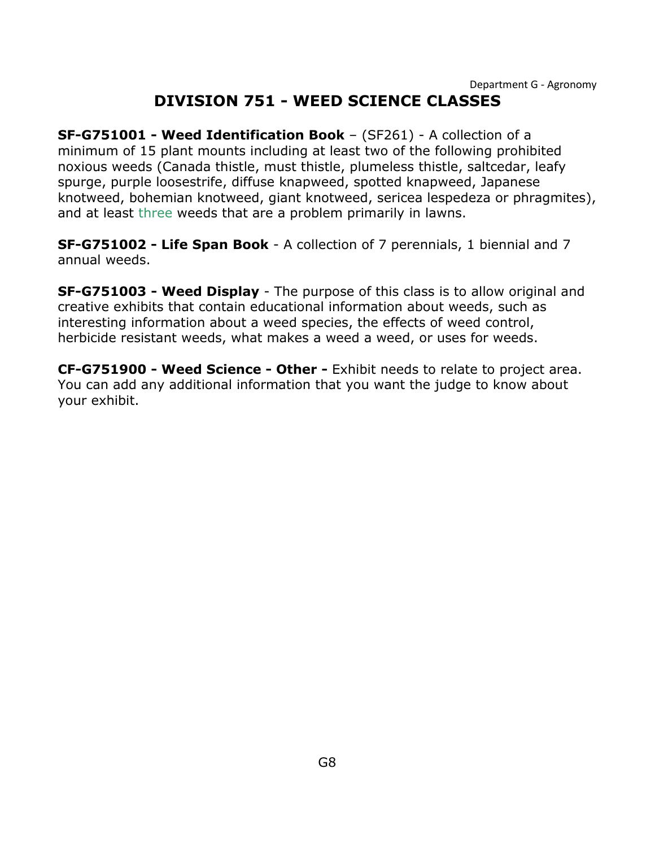# **DIVISION 751 - WEED SCIENCE CLASSES**

<span id="page-8-0"></span>**SF-G751001 - Weed Identification Book** – (SF261) - A collection of a minimum of 15 plant mounts including at least two of the following prohibited noxious weeds (Canada thistle, must thistle, plumeless thistle, saltcedar, leafy spurge, purple loosestrife, diffuse knapweed, spotted knapweed, Japanese knotweed, bohemian knotweed, giant knotweed, sericea lespedeza or phragmites), and at least three weeds that are a problem primarily in lawns.

**SF-G751002 - Life Span Book** - A collection of 7 perennials, 1 biennial and 7 annual weeds.

**SF-G751003 - Weed Display** - The purpose of this class is to allow original and creative exhibits that contain educational information about weeds, such as interesting information about a weed species, the effects of weed control, herbicide resistant weeds, what makes a weed a weed, or uses for weeds.

**CF-G751900 - Weed Science - Other -** Exhibit needs to relate to project area. You can add any additional information that you want the judge to know about your exhibit.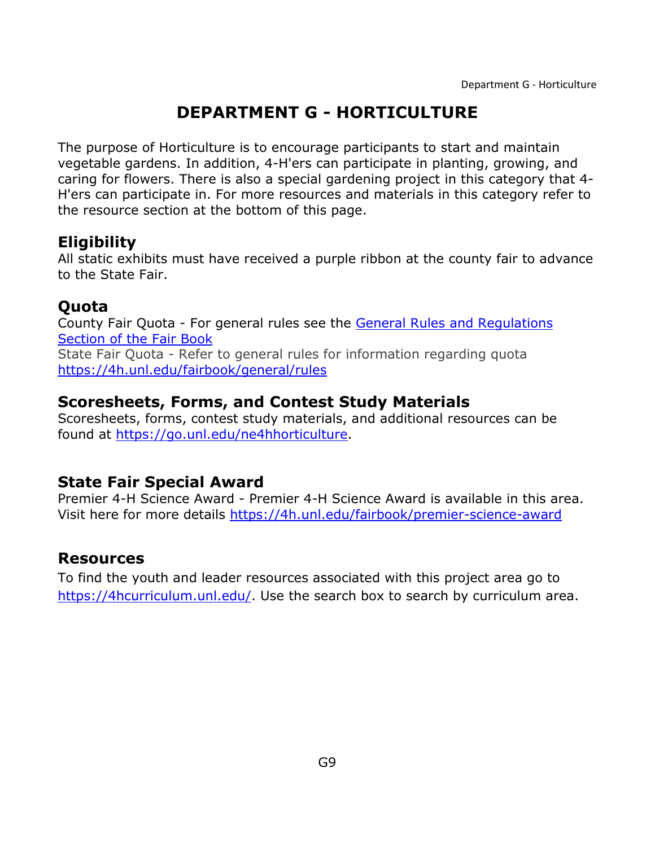# **DEPARTMENT G - HORTICULTURE**

<span id="page-9-0"></span>The purpose of Horticulture is to encourage participants to start and maintain vegetable gardens. In addition, 4-H'ers can participate in planting, growing, and caring for flowers. There is also a special gardening project in this category that 4- H'ers can participate in. For more resources and materials in this category refer to the resource section at the bottom of this page.

### **Eligibility**

All static exhibits must have received a purple ribbon at the county fair to advance to the State Fair.

### **Quota**

County Fair Quota - For general rules see the [General Rules and Regulations](https://unl.box.com/s/e7w1cmzwit0us89x96k1h2gdrs51dsy2)  [Section of the Fair Book](https://unl.box.com/s/e7w1cmzwit0us89x96k1h2gdrs51dsy2) State Fair Quota - Refer to general rules for information regarding quota <https://4h.unl.edu/fairbook/general/rules>

### **Scoresheets, Forms, and Contest Study Materials**

Scoresheets, forms, contest study materials, and additional resources can be found at [https://go.unl.edu/ne4hhorticulture.](https://go.unl.edu/ne4hhorticulture)

### **State Fair Special Award**

Premier 4-H Science Award - Premier 4-H Science Award is available in this area. Visit here for more details<https://4h.unl.edu/fairbook/premier-science-award>

## **Resources**

To find the youth and leader resources associated with this project area go to [https://4hcurriculum.unl.edu/.](https://4hcurriculum.unl.edu/) Use the search box to search by curriculum area.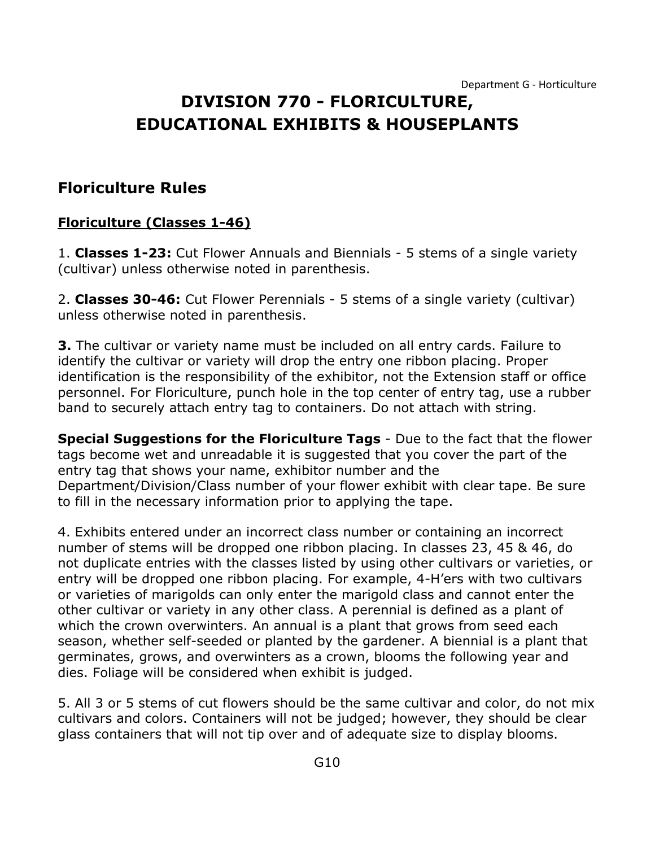# **DIVISION 770 - FLORICULTURE, EDUCATIONAL EXHIBITS & HOUSEPLANTS**

#### **Floriculture Rules**

#### **Floriculture (Classes 1-46)**

1. **Classes 1-23:** Cut Flower Annuals and Biennials - 5 stems of a single variety (cultivar) unless otherwise noted in parenthesis.

2. **Classes 30-46:** Cut Flower Perennials - 5 stems of a single variety (cultivar) unless otherwise noted in parenthesis.

**3.** The cultivar or variety name must be included on all entry cards. Failure to identify the cultivar or variety will drop the entry one ribbon placing. Proper identification is the responsibility of the exhibitor, not the Extension staff or office personnel. For Floriculture, punch hole in the top center of entry tag, use a rubber band to securely attach entry tag to containers. Do not attach with string.

**Special Suggestions for the Floriculture Tags** - Due to the fact that the flower tags become wet and unreadable it is suggested that you cover the part of the entry tag that shows your name, exhibitor number and the Department/Division/Class number of your flower exhibit with clear tape. Be sure to fill in the necessary information prior to applying the tape.

4. Exhibits entered under an incorrect class number or containing an incorrect number of stems will be dropped one ribbon placing. In classes 23, 45 & 46, do not duplicate entries with the classes listed by using other cultivars or varieties, or entry will be dropped one ribbon placing. For example, 4-H'ers with two cultivars or varieties of marigolds can only enter the marigold class and cannot enter the other cultivar or variety in any other class. A perennial is defined as a plant of which the crown overwinters. An annual is a plant that grows from seed each season, whether self-seeded or planted by the gardener. A biennial is a plant that germinates, grows, and overwinters as a crown, blooms the following year and dies. Foliage will be considered when exhibit is judged.

5. All 3 or 5 stems of cut flowers should be the same cultivar and color, do not mix cultivars and colors. Containers will not be judged; however, they should be clear glass containers that will not tip over and of adequate size to display blooms.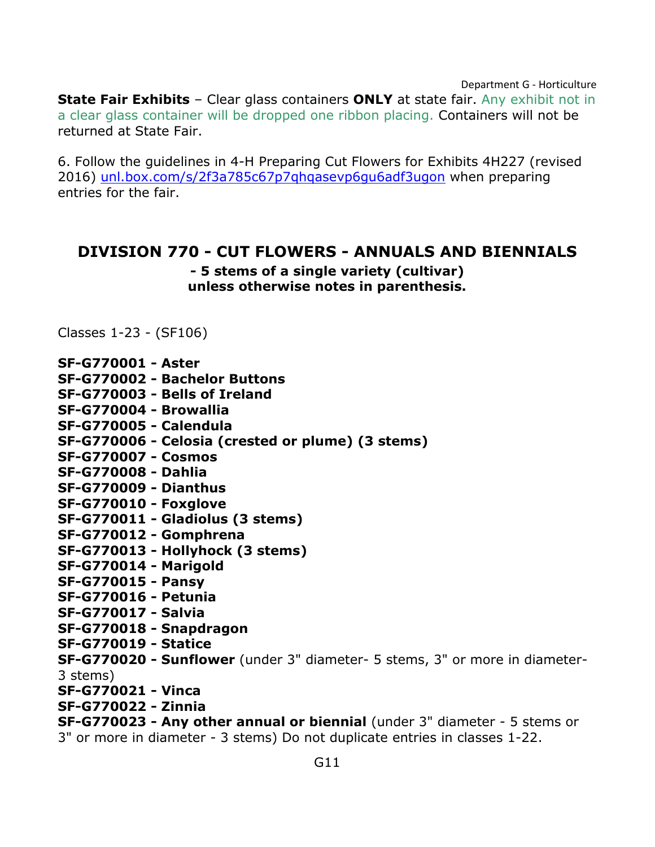**State Fair Exhibits** – Clear glass containers **ONLY** at state fair. Any exhibit not in a clear glass container will be dropped one ribbon placing. Containers will not be returned at State Fair.

6. Follow the guidelines in 4-H Preparing Cut Flowers for Exhibits 4H227 (revised 2016) [unl.box.com/s/2f3a785c67p7qhqasevp6gu6adf3ugon](https://unl.box.com/s/2f3a785c67p7qhqasevp6gu6adf3ugon) when preparing entries for the fair.

#### <span id="page-11-0"></span>**DIVISION 770 - CUT FLOWERS - ANNUALS AND BIENNIALS**

**- 5 stems of a single variety (cultivar) unless otherwise notes in parenthesis.**

Classes 1-23 - (SF106)

| SF-G770001 - Aster |  |
|--------------------|--|
|--------------------|--|

|  |  |  |  | SF-G770002 - Bachelor Buttons |  |
|--|--|--|--|-------------------------------|--|
|  |  |  |  |                               |  |

- **SF-G770003 - Bells of Ireland**
- **SF-G770004 - Browallia**
- **SF-G770005 - Calendula**
- **SF-G770006 - Celosia (crested or plume) (3 stems)**
- **SF-G770007 - Cosmos**
- **SF-G770008 - Dahlia**
- **SF-G770009 - Dianthus**
- **SF-G770010 - Foxglove**
- **SF-G770011 - Gladiolus (3 stems)**
- **SF-G770012 - Gomphrena**
- **SF-G770013 - Hollyhock (3 stems)**
- **SF-G770014 - Marigold**
- **SF-G770015 - Pansy**
- **SF-G770016 - Petunia**
- **SF-G770017 - Salvia**
- **SF-G770018 - Snapdragon**
- **SF-G770019 - Statice**

**SF-G770020 - Sunflower** (under 3" diameter- 5 stems, 3" or more in diameter-3 stems)

- **SF-G770021 - Vinca**
- **SF-G770022 - Zinnia**

**SF-G770023 - Any other annual or biennial** (under 3" diameter - 5 stems or 3" or more in diameter - 3 stems) Do not duplicate entries in classes 1-22.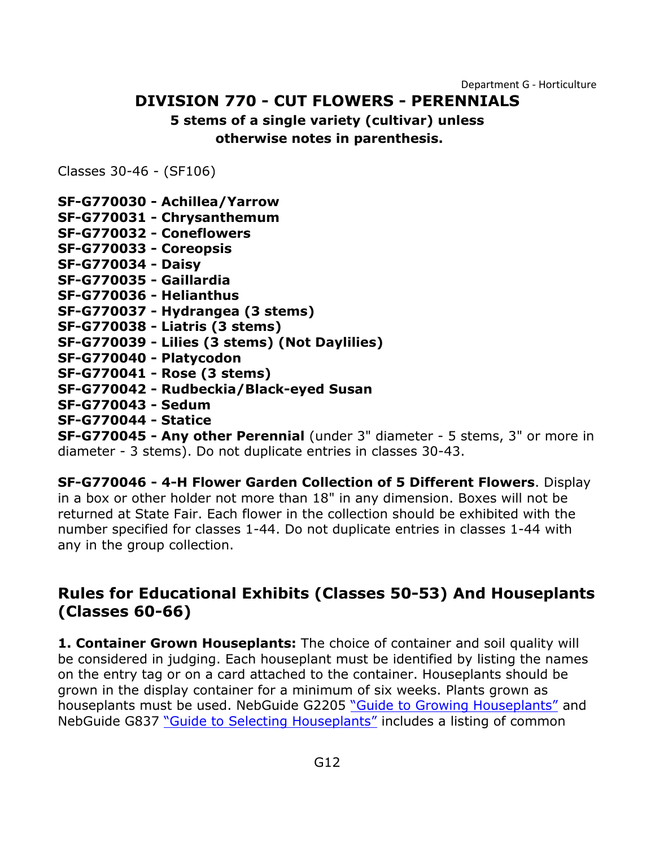### **DIVISION 770 - CUT FLOWERS - PERENNIALS**

#### **5 stems of a single variety (cultivar) unless otherwise notes in parenthesis.**

<span id="page-12-0"></span>Classes 30-46 - (SF106)

**SF-G770030 - Achillea/Yarrow SF-G770031 - Chrysanthemum SF-G770032 - Coneflowers SF-G770033 - Coreopsis SF-G770034 - Daisy SF-G770035 - Gaillardia SF-G770036 - Helianthus SF-G770037 - Hydrangea (3 stems) SF-G770038 - Liatris (3 stems) SF-G770039 - Lilies (3 stems) (Not Daylilies) SF-G770040 - Platycodon SF-G770041 - Rose (3 stems) SF-G770042 - Rudbeckia/Black-eyed Susan SF-G770043 - Sedum SF-G770044 - Statice**

**SF-G770045 - Any other Perennial** (under 3" diameter - 5 stems, 3" or more in diameter - 3 stems). Do not duplicate entries in classes 30-43.

**SF-G770046 - 4-H Flower Garden Collection of 5 Different Flowers**. Display in a box or other holder not more than 18" in any dimension. Boxes will not be returned at State Fair. Each flower in the collection should be exhibited with the number specified for classes 1-44. Do not duplicate entries in classes 1-44 with any in the group collection.

### **Rules for Educational Exhibits (Classes 50-53) And Houseplants (Classes 60-66)**

**1. Container Grown Houseplants:** The choice of container and soil quality will be considered in judging. Each houseplant must be identified by listing the names on the entry tag or on a card attached to the container. Houseplants should be grown in the display container for a minimum of six weeks. Plants grown as houseplants must be used. NebGuide G2205 "Guide [to Growing Houseplants"](http://extensionpublications.unl.edu/assets/html/g2205/build/g2205.htm) and NebGuide G837 ["Guide to Selecting Houseplants"](http://extensionpublications.unl.edu/assets/html/g837/build/g837.htm) includes a listing of common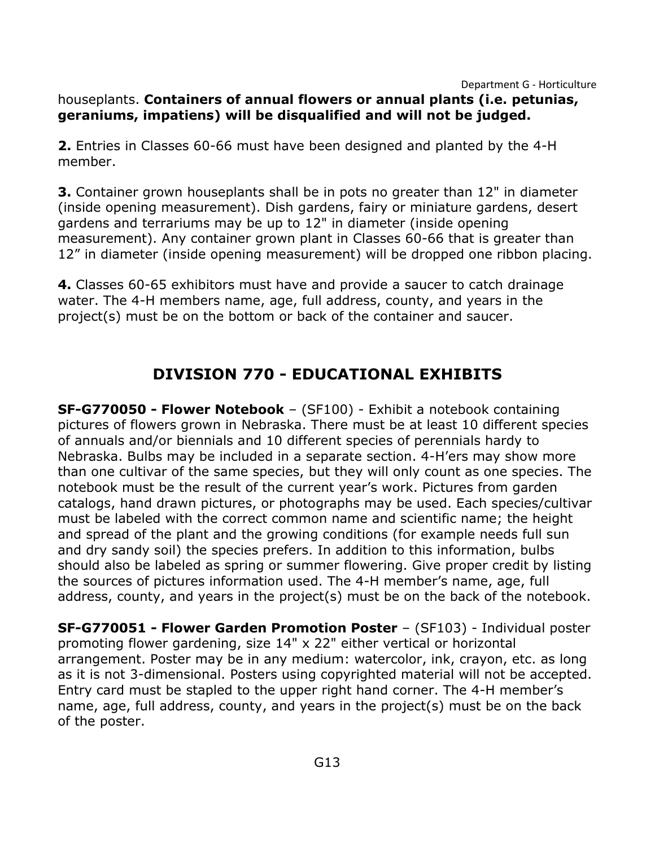#### houseplants. **Containers of annual flowers or annual plants (i.e. petunias, geraniums, impatiens) will be disqualified and will not be judged.**

**2.** Entries in Classes 60-66 must have been designed and planted by the 4-H member.

**3.** Container grown houseplants shall be in pots no greater than 12" in diameter (inside opening measurement). Dish gardens, fairy or miniature gardens, desert gardens and terrariums may be up to 12" in diameter (inside opening measurement). Any container grown plant in Classes 60-66 that is greater than 12" in diameter (inside opening measurement) will be dropped one ribbon placing.

**4.** Classes 60-65 exhibitors must have and provide a saucer to catch drainage water. The 4-H members name, age, full address, county, and years in the project(s) must be on the bottom or back of the container and saucer.

# **DIVISION 770 - EDUCATIONAL EXHIBITS**

<span id="page-13-0"></span>**SF-G770050 - Flower Notebook** – (SF100) - Exhibit a notebook containing pictures of flowers grown in Nebraska. There must be at least 10 different species of annuals and/or biennials and 10 different species of perennials hardy to Nebraska. Bulbs may be included in a separate section. 4-H'ers may show more than one cultivar of the same species, but they will only count as one species. The notebook must be the result of the current year's work. Pictures from garden catalogs, hand drawn pictures, or photographs may be used. Each species/cultivar must be labeled with the correct common name and scientific name; the height and spread of the plant and the growing conditions (for example needs full sun and dry sandy soil) the species prefers. In addition to this information, bulbs should also be labeled as spring or summer flowering. Give proper credit by listing the sources of pictures information used. The 4-H member's name, age, full address, county, and years in the project(s) must be on the back of the notebook.

**SF-G770051 - Flower Garden Promotion Poster** – (SF103) - Individual poster promoting flower gardening, size 14" x 22" either vertical or horizontal arrangement. Poster may be in any medium: watercolor, ink, crayon, etc. as long as it is not 3-dimensional. Posters using copyrighted material will not be accepted. Entry card must be stapled to the upper right hand corner. The 4-H member's name, age, full address, county, and years in the project(s) must be on the back of the poster.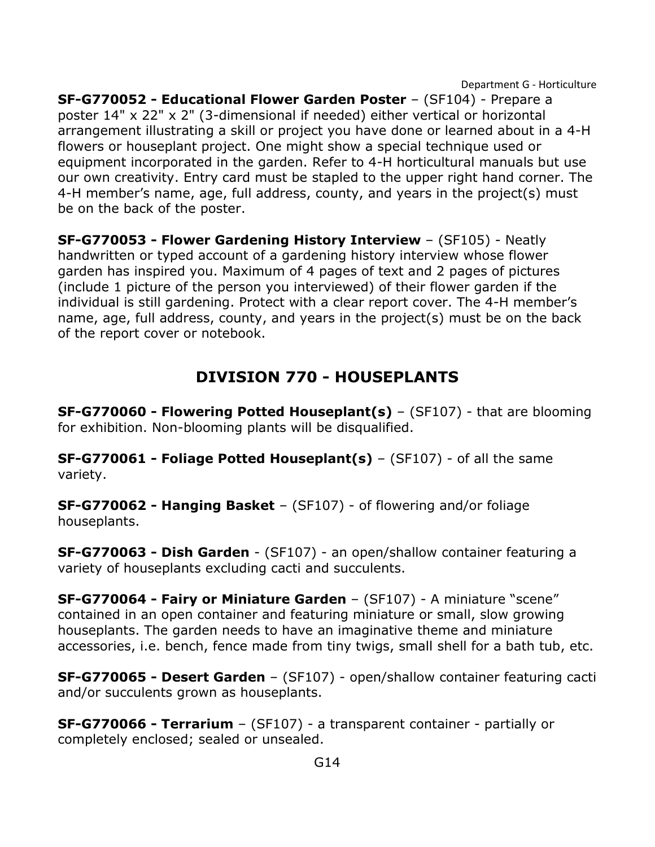**SF-G770052 - Educational Flower Garden Poster** – (SF104) - Prepare a poster 14" x 22" x 2" (3-dimensional if needed) either vertical or horizontal arrangement illustrating a skill or project you have done or learned about in a 4-H flowers or houseplant project. One might show a special technique used or equipment incorporated in the garden. Refer to 4-H horticultural manuals but use our own creativity. Entry card must be stapled to the upper right hand corner. The 4-H member's name, age, full address, county, and years in the project(s) must be on the back of the poster.

**SF-G770053 - Flower Gardening History Interview** – (SF105) - Neatly handwritten or typed account of a gardening history interview whose flower garden has inspired you. Maximum of 4 pages of text and 2 pages of pictures (include 1 picture of the person you interviewed) of their flower garden if the individual is still gardening. Protect with a clear report cover. The 4-H member's name, age, full address, county, and years in the project(s) must be on the back of the report cover or notebook.

## **DIVISION 770 - HOUSEPLANTS**

<span id="page-14-0"></span>**SF-G770060 - Flowering Potted Houseplant(s)** – (SF107) - that are blooming for exhibition. Non-blooming plants will be disqualified.

**SF-G770061 - Foliage Potted Houseplant(s)** – (SF107) - of all the same variety.

**SF-G770062 - Hanging Basket** – (SF107) - of flowering and/or foliage houseplants.

**SF-G770063 - Dish Garden** - (SF107) - an open/shallow container featuring a variety of houseplants excluding cacti and succulents.

**SF-G770064 - Fairy or Miniature Garden** – (SF107) - A miniature "scene" contained in an open container and featuring miniature or small, slow growing houseplants. The garden needs to have an imaginative theme and miniature accessories, i.e. bench, fence made from tiny twigs, small shell for a bath tub, etc.

**SF-G770065 - Desert Garden** – (SF107) - open/shallow container featuring cacti and/or succulents grown as houseplants.

**SF-G770066 - Terrarium** – (SF107) - a transparent container - partially or completely enclosed; sealed or unsealed.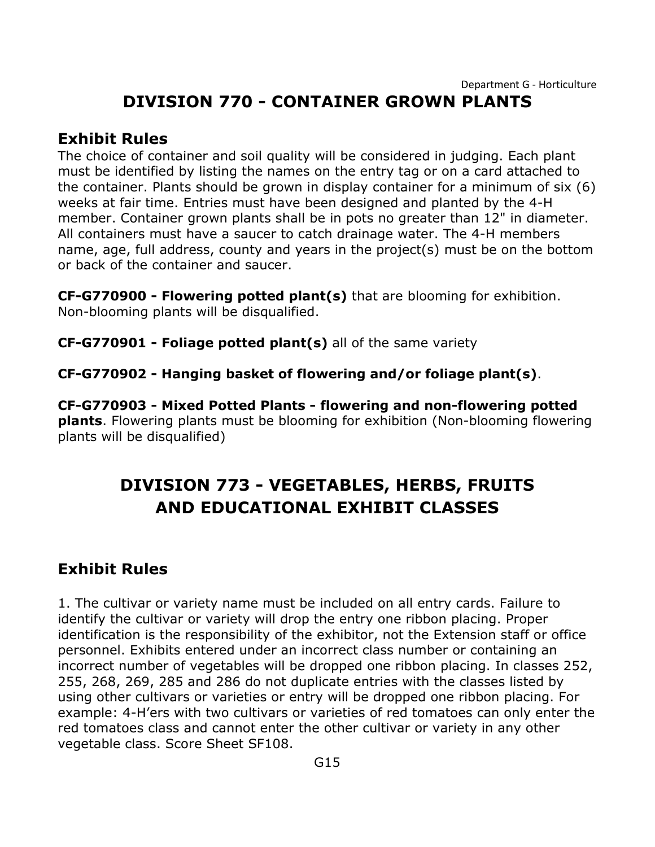# **DIVISION 770 - CONTAINER GROWN PLANTS**

#### <span id="page-15-0"></span>**Exhibit Rules**

The choice of container and soil quality will be considered in judging. Each plant must be identified by listing the names on the entry tag or on a card attached to the container. Plants should be grown in display container for a minimum of six (6) weeks at fair time. Entries must have been designed and planted by the 4-H member. Container grown plants shall be in pots no greater than 12" in diameter. All containers must have a saucer to catch drainage water. The 4-H members name, age, full address, county and years in the project(s) must be on the bottom or back of the container and saucer.

**CF-G770900 - Flowering potted plant(s)** that are blooming for exhibition. Non-blooming plants will be disqualified.

**CF-G770901 - Foliage potted plant(s)** all of the same variety

**CF-G770902 - Hanging basket of flowering and/or foliage plant(s)**.

**CF-G770903 - Mixed Potted Plants - flowering and non-flowering potted plants**. Flowering plants must be blooming for exhibition (Non-blooming flowering plants will be disqualified)

# **DIVISION 773 - VEGETABLES, HERBS, FRUITS AND EDUCATIONAL EXHIBIT CLASSES**

### **Exhibit Rules**

1. The cultivar or variety name must be included on all entry cards. Failure to identify the cultivar or variety will drop the entry one ribbon placing. Proper identification is the responsibility of the exhibitor, not the Extension staff or office personnel. Exhibits entered under an incorrect class number or containing an incorrect number of vegetables will be dropped one ribbon placing. In classes 252, 255, 268, 269, 285 and 286 do not duplicate entries with the classes listed by using other cultivars or varieties or entry will be dropped one ribbon placing. For example: 4-H'ers with two cultivars or varieties of red tomatoes can only enter the red tomatoes class and cannot enter the other cultivar or variety in any other vegetable class. Score Sheet SF108.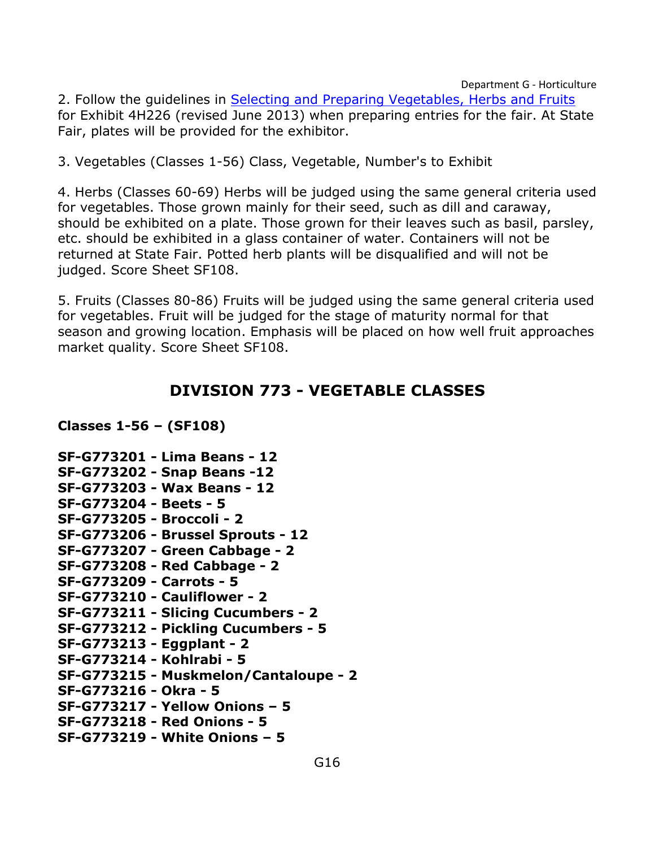2. Follow the guidelines in Selecting and Preparing Vegetables, Herbs and Fruits for Exhibit 4H226 (revised June 2013) when preparing entries for the fair. At State Fair, plates will be provided for the exhibitor.

3. Vegetables (Classes 1-56) Class, Vegetable, Number's to Exhibit

4. Herbs (Classes 60-69) Herbs will be judged using the same general criteria used for vegetables. Those grown mainly for their seed, such as dill and caraway, should be exhibited on a plate. Those grown for their leaves such as basil, parsley, etc. should be exhibited in a glass container of water. Containers will not be returned at State Fair. Potted herb plants will be disqualified and will not be judged. Score Sheet SF108.

5. Fruits (Classes 80-86) Fruits will be judged using the same general criteria used for vegetables. Fruit will be judged for the stage of maturity normal for that season and growing location. Emphasis will be placed on how well fruit approaches market quality. Score Sheet SF108.

#### **DIVISION 773 - VEGETABLE CLASSES**

<span id="page-16-0"></span>**Classes 1-56 – (SF108)**

**SF-G773201 - Lima Beans - 12 SF-G773202 - Snap Beans -12 SF-G773203 - Wax Beans - 12 SF-G773204 - Beets - 5 SF-G773205 - Broccoli - 2 SF-G773206 - Brussel Sprouts - 12 SF-G773207 - Green Cabbage - 2 SF-G773208 - Red Cabbage - 2 SF-G773209 - Carrots - 5 SF-G773210 - Cauliflower - 2 SF-G773211 - Slicing Cucumbers - 2 SF-G773212 - Pickling Cucumbers - 5 SF-G773213 - Eggplant - 2 SF-G773214 - Kohlrabi - 5 SF-G773215 - Muskmelon/Cantaloupe - 2 SF-G773216 - Okra - 5 SF-G773217 - Yellow Onions – 5 SF-G773218 - Red Onions - 5 SF-G773219 - White Onions – 5**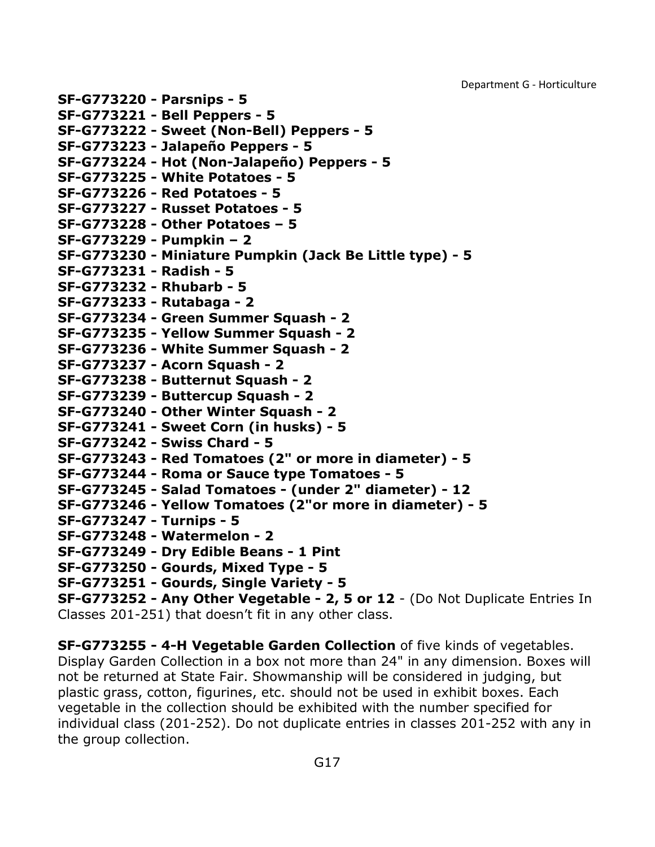**SF-G773220 - Parsnips - 5 SF-G773221 - Bell Peppers - 5 SF-G773222 - Sweet (Non-Bell) Peppers - 5 SF-G773223 - Jalapeño Peppers - 5 SF-G773224 - Hot (Non-Jalapeño) Peppers - 5 SF-G773225 - White Potatoes - 5 SF-G773226 - Red Potatoes - 5 SF-G773227 - Russet Potatoes - 5 SF-G773228 - Other Potatoes – 5 SF-G773229 - Pumpkin – 2 SF-G773230 - Miniature Pumpkin (Jack Be Little type) - 5 SF-G773231 - Radish - 5 SF-G773232 - Rhubarb - 5 SF-G773233 - Rutabaga - 2 SF-G773234 - Green Summer Squash - 2 SF-G773235 - Yellow Summer Squash - 2 SF-G773236 - White Summer Squash - 2 SF-G773237 - Acorn Squash - 2 SF-G773238 - Butternut Squash - 2 SF-G773239 - Buttercup Squash - 2 SF-G773240 - Other Winter Squash - 2 SF-G773241 - Sweet Corn (in husks) - 5 SF-G773242 - Swiss Chard - 5 SF-G773243 - Red Tomatoes (2" or more in diameter) - 5 SF-G773244 - Roma or Sauce type Tomatoes - 5 SF-G773245 - Salad Tomatoes - (under 2" diameter) - 12 SF-G773246 - Yellow Tomatoes (2"or more in diameter) - 5 SF-G773247 - Turnips - 5 SF-G773248 - Watermelon - 2 SF-G773249 - Dry Edible Beans - 1 Pint SF-G773250 - Gourds, Mixed Type - 5 SF-G773251 - Gourds, Single Variety - 5 SF-G773252 - Any Other Vegetable - 2, 5 or 12** - (Do Not Duplicate Entries In

Classes 201-251) that doesn't fit in any other class.

**SF-G773255 - 4-H Vegetable Garden Collection** of five kinds of vegetables. Display Garden Collection in a box not more than 24" in any dimension. Boxes will not be returned at State Fair. Showmanship will be considered in judging, but plastic grass, cotton, figurines, etc. should not be used in exhibit boxes. Each vegetable in the collection should be exhibited with the number specified for individual class (201-252). Do not duplicate entries in classes 201-252 with any in the group collection.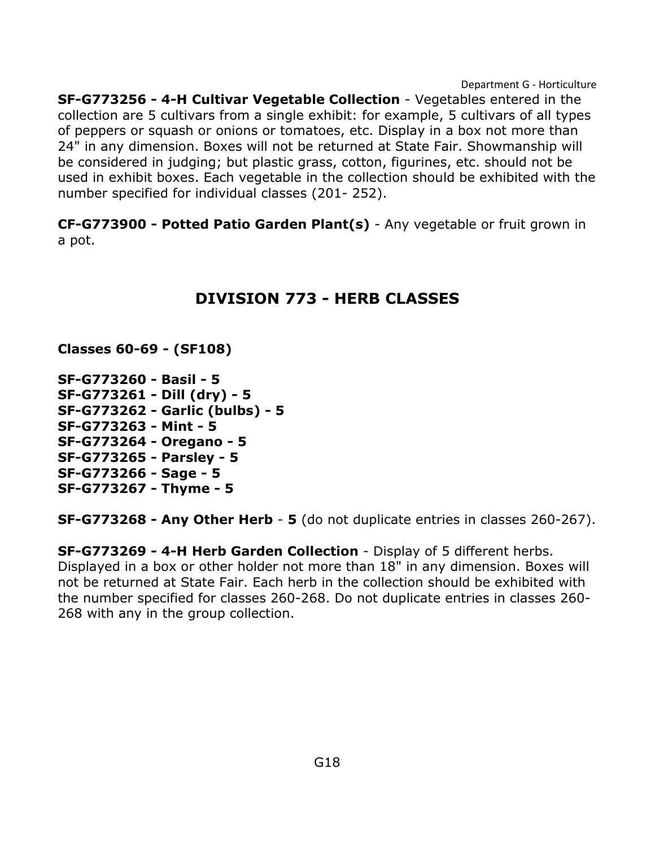**SF-G773256 - 4-H Cultivar Vegetable Collection** - Vegetables entered in the collection are 5 cultivars from a single exhibit: for example, 5 cultivars of all types of peppers or squash or onions or tomatoes, etc. Display in a box not more than 24" in any dimension. Boxes will not be returned at State Fair. Showmanship will be considered in judging; but plastic grass, cotton, figurines, etc. should not be used in exhibit boxes. Each vegetable in the collection should be exhibited with the number specified for individual classes (201- 252).

<span id="page-18-0"></span>**CF-G773900 - Potted Patio Garden Plant(s)** - Any vegetable or fruit grown in a pot.

### **DIVISION 773 - HERB CLASSES**

**Classes 60-69 - (SF108)**

**SF-G773260 - Basil - 5 SF-G773261 - Dill (dry) - 5 SF-G773262 - Garlic (bulbs) - 5 SF-G773263 - Mint - 5 SF-G773264 - Oregano - 5 SF-G773265 - Parsley - 5 SF-G773266 - Sage - 5 SF-G773267 - Thyme - 5**

**SF-G773268 - Any Other Herb** - **5** (do not duplicate entries in classes 260-267).

**SF-G773269 - 4-H Herb Garden Collection** - Display of 5 different herbs. Displayed in a box or other holder not more than 18" in any dimension. Boxes will not be returned at State Fair. Each herb in the collection should be exhibited with the number specified for classes 260-268. Do not duplicate entries in classes 260- 268 with any in the group collection.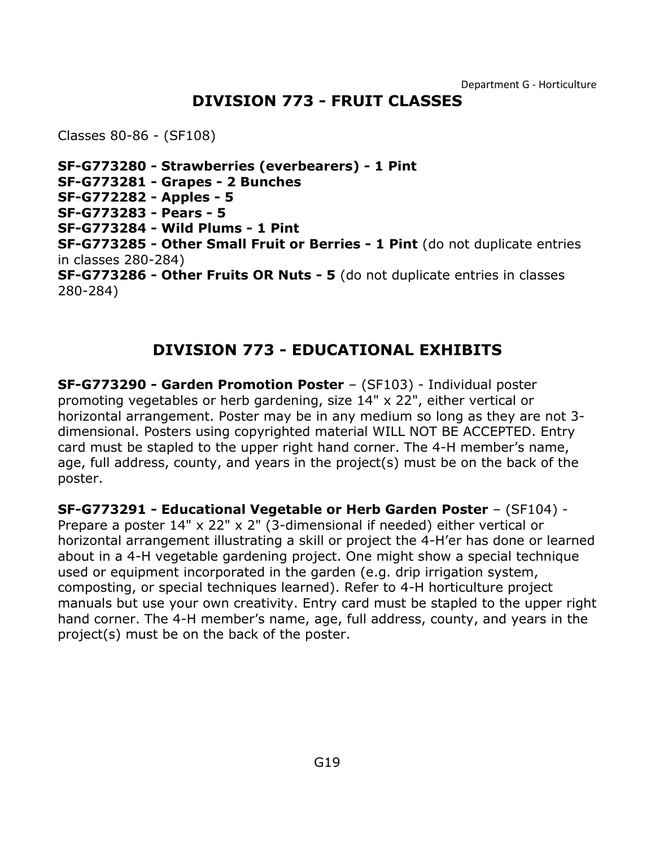#### **DIVISION 773 - FRUIT CLASSES**

<span id="page-19-0"></span>Classes 80-86 - (SF108)

**SF-G773280 - Strawberries (everbearers) - 1 Pint SF-G773281 - Grapes - 2 Bunches SF-G772282 - Apples - 5 SF-G773283 - Pears - 5 SF-G773284 - Wild Plums - 1 Pint SF-G773285 - Other Small Fruit or Berries - 1 Pint** (do not duplicate entries in classes 280-284) **SF-G773286 - Other Fruits OR Nuts - 5** (do not duplicate entries in classes 280-284)

### **DIVISION 773 - EDUCATIONAL EXHIBITS**

<span id="page-19-1"></span>**SF-G773290 - Garden Promotion Poster** – (SF103) - Individual poster promoting vegetables or herb gardening, size 14" x 22", either vertical or horizontal arrangement. Poster may be in any medium so long as they are not 3 dimensional. Posters using copyrighted material WILL NOT BE ACCEPTED. Entry card must be stapled to the upper right hand corner. The 4-H member's name, age, full address, county, and years in the project(s) must be on the back of the poster.

**SF-G773291 - Educational Vegetable or Herb Garden Poster** – (SF104) - Prepare a poster  $14" \times 22" \times 2"$  (3-dimensional if needed) either vertical or horizontal arrangement illustrating a skill or project the 4-H'er has done or learned about in a 4-H vegetable gardening project. One might show a special technique used or equipment incorporated in the garden (e.g. drip irrigation system, composting, or special techniques learned). Refer to 4-H horticulture project

manuals but use your own creativity. Entry card must be stapled to the upper right hand corner. The 4-H member's name, age, full address, county, and years in the project(s) must be on the back of the poster.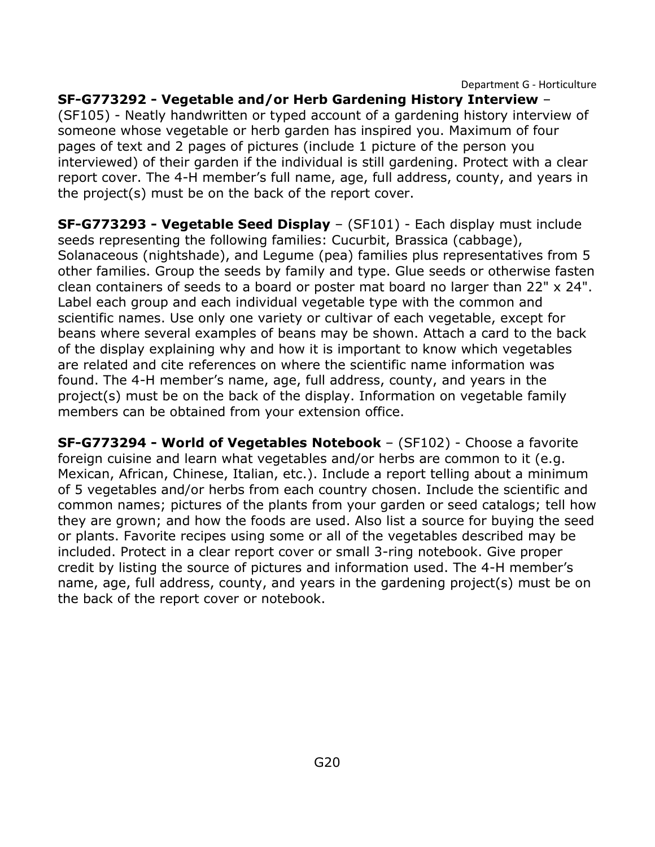**SF-G773292 - Vegetable and/or Herb Gardening History Interview** – (SF105) - Neatly handwritten or typed account of a gardening history interview of someone whose vegetable or herb garden has inspired you. Maximum of four pages of text and 2 pages of pictures (include 1 picture of the person you interviewed) of their garden if the individual is still gardening. Protect with a clear report cover. The 4-H member's full name, age, full address, county, and years in the project(s) must be on the back of the report cover.

**SF-G773293 - Vegetable Seed Display** – (SF101) - Each display must include seeds representing the following families: Cucurbit, Brassica (cabbage), Solanaceous (nightshade), and Legume (pea) families plus representatives from 5 other families. Group the seeds by family and type. Glue seeds or otherwise fasten clean containers of seeds to a board or poster mat board no larger than 22" x 24". Label each group and each individual vegetable type with the common and scientific names. Use only one variety or cultivar of each vegetable, except for beans where several examples of beans may be shown. Attach a card to the back of the display explaining why and how it is important to know which vegetables are related and cite references on where the scientific name information was found. The 4-H member's name, age, full address, county, and years in the project(s) must be on the back of the display. Information on vegetable family members can be obtained from your extension office.

**SF-G773294 - World of Vegetables Notebook** – (SF102) - Choose a favorite foreign cuisine and learn what vegetables and/or herbs are common to it (e.g. Mexican, African, Chinese, Italian, etc.). Include a report telling about a minimum of 5 vegetables and/or herbs from each country chosen. Include the scientific and common names; pictures of the plants from your garden or seed catalogs; tell how they are grown; and how the foods are used. Also list a source for buying the seed or plants. Favorite recipes using some or all of the vegetables described may be included. Protect in a clear report cover or small 3-ring notebook. Give proper credit by listing the source of pictures and information used. The 4-H member's name, age, full address, county, and years in the gardening project(s) must be on the back of the report cover or notebook.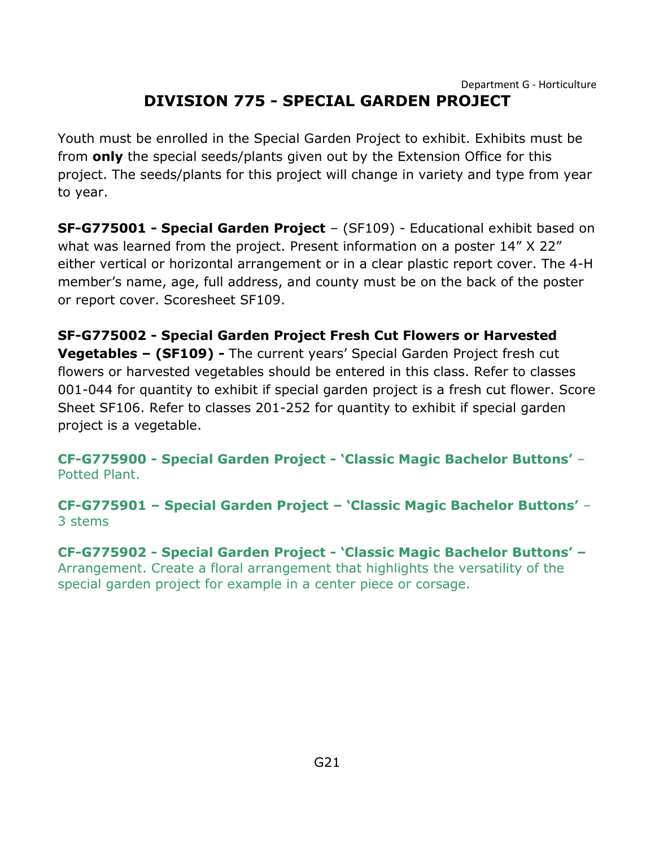<span id="page-21-0"></span>Youth must be enrolled in the Special Garden Project to exhibit. Exhibits must be from **only** the special seeds/plants given out by the Extension Office for this project. The seeds/plants for this project will change in variety and type from year to year.

**SF-G775001 - Special Garden Project** – (SF109) - Educational exhibit based on what was learned from the project. Present information on a poster 14" X 22" either vertical or horizontal arrangement or in a clear plastic report cover. The 4-H member's name, age, full address, and county must be on the back of the poster or report cover. Scoresheet SF109.

**SF-G775002 - Special Garden Project Fresh Cut Flowers or Harvested Vegetables – (SF109) -** The current years' Special Garden Project fresh cut flowers or harvested vegetables should be entered in this class. Refer to classes 001-044 for quantity to exhibit if special garden project is a fresh cut flower. Score Sheet SF106. Refer to classes 201-252 for quantity to exhibit if special garden project is a vegetable.

**CF-G775900 - Special Garden Project - 'Classic Magic Bachelor Buttons'** – Potted Plant.

**CF-G775901 – Special Garden Project – 'Classic Magic Bachelor Buttons'** – 3 stems

**CF-G775902 - Special Garden Project - 'Classic Magic Bachelor Buttons' –** Arrangement. Create a floral arrangement that highlights the versatility of the special garden project for example in a center piece or corsage.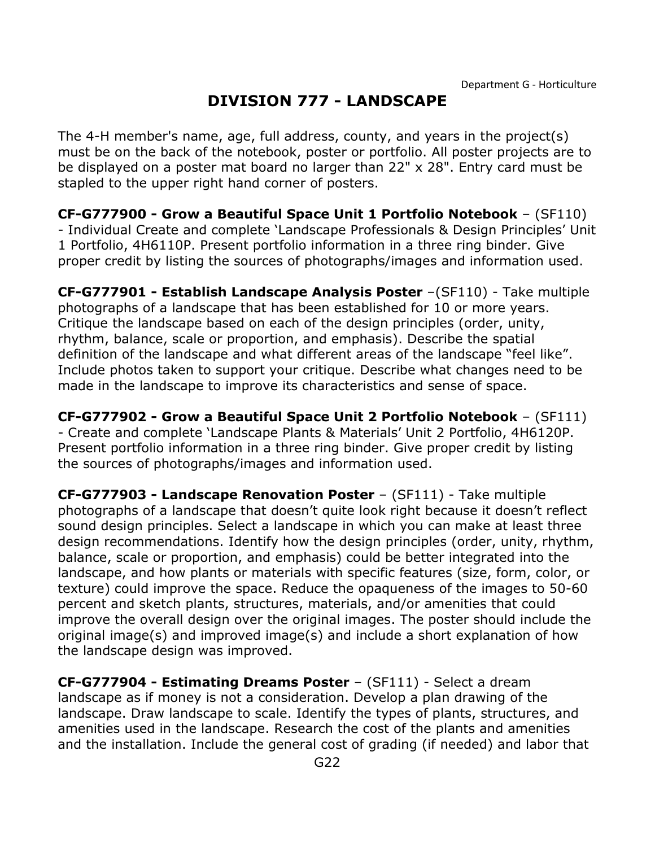# **DIVISION 777 - LANDSCAPE**

<span id="page-22-0"></span>The 4-H member's name, age, full address, county, and years in the project(s) must be on the back of the notebook, poster or portfolio. All poster projects are to be displayed on a poster mat board no larger than 22" x 28". Entry card must be stapled to the upper right hand corner of posters.

**CF-G777900 - Grow a Beautiful Space Unit 1 Portfolio Notebook** – (SF110) - Individual Create and complete 'Landscape Professionals & Design Principles' Unit 1 Portfolio, 4H6110P. Present portfolio information in a three ring binder. Give proper credit by listing the sources of photographs/images and information used.

**CF-G777901 - Establish Landscape Analysis Poster** –(SF110) - Take multiple photographs of a landscape that has been established for 10 or more years. Critique the landscape based on each of the design principles (order, unity, rhythm, balance, scale or proportion, and emphasis). Describe the spatial definition of the landscape and what different areas of the landscape "feel like". Include photos taken to support your critique. Describe what changes need to be made in the landscape to improve its characteristics and sense of space.

**CF-G777902 - Grow a Beautiful Space Unit 2 Portfolio Notebook** – (SF111) - Create and complete 'Landscape Plants & Materials' Unit 2 Portfolio, 4H6120P. Present portfolio information in a three ring binder. Give proper credit by listing the sources of photographs/images and information used.

**CF-G777903 - Landscape Renovation Poster** – (SF111) - Take multiple photographs of a landscape that doesn't quite look right because it doesn't reflect sound design principles. Select a landscape in which you can make at least three design recommendations. Identify how the design principles (order, unity, rhythm, balance, scale or proportion, and emphasis) could be better integrated into the landscape, and how plants or materials with specific features (size, form, color, or texture) could improve the space. Reduce the opaqueness of the images to 50-60 percent and sketch plants, structures, materials, and/or amenities that could improve the overall design over the original images. The poster should include the original image(s) and improved image(s) and include a short explanation of how the landscape design was improved.

**CF-G777904 - Estimating Dreams Poster** – (SF111) - Select a dream landscape as if money is not a consideration. Develop a plan drawing of the landscape. Draw landscape to scale. Identify the types of plants, structures, and amenities used in the landscape. Research the cost of the plants and amenities and the installation. Include the general cost of grading (if needed) and labor that